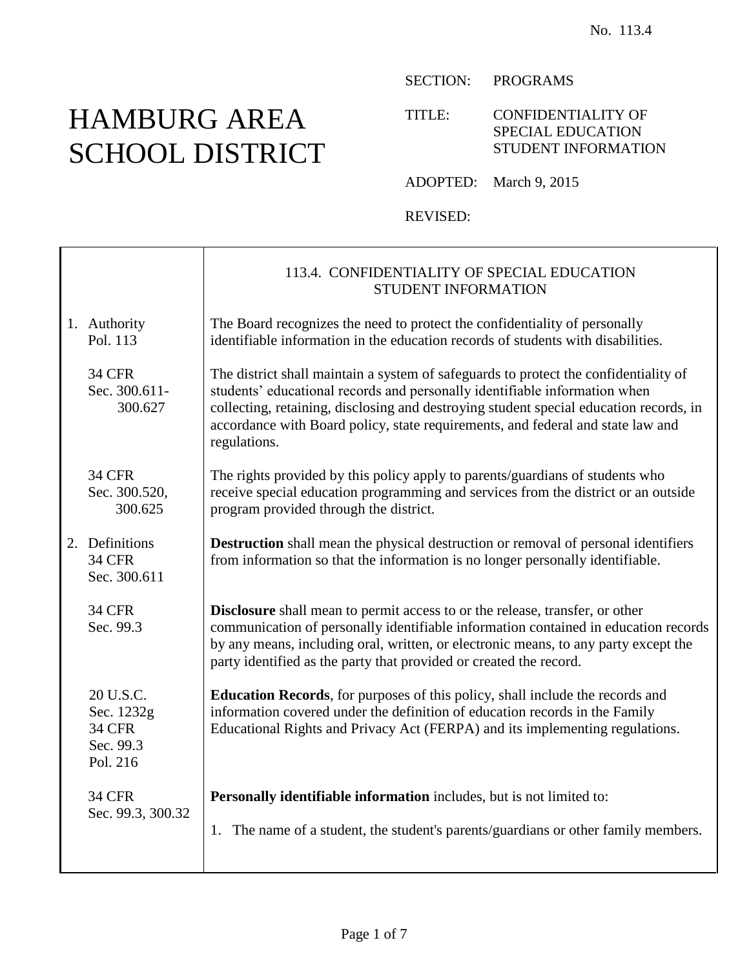# HAMBURG AREA SCHOOL DISTRICT

SECTION: PROGRAMS

TITLE: CONFIDENTIALITY OF SPECIAL EDUCATION STUDENT INFORMATION

ADOPTED: March 9, 2015

REVISED:

|                                                                   | 113.4. CONFIDENTIALITY OF SPECIAL EDUCATION<br>STUDENT INFORMATION                                                                                                                                                                                                                                                                                              |
|-------------------------------------------------------------------|-----------------------------------------------------------------------------------------------------------------------------------------------------------------------------------------------------------------------------------------------------------------------------------------------------------------------------------------------------------------|
| 1. Authority<br>Pol. 113                                          | The Board recognizes the need to protect the confidentiality of personally<br>identifiable information in the education records of students with disabilities.                                                                                                                                                                                                  |
| <b>34 CFR</b><br>Sec. 300.611-<br>300.627                         | The district shall maintain a system of safeguards to protect the confidentiality of<br>students' educational records and personally identifiable information when<br>collecting, retaining, disclosing and destroying student special education records, in<br>accordance with Board policy, state requirements, and federal and state law and<br>regulations. |
| <b>34 CFR</b><br>Sec. 300.520,<br>300.625                         | The rights provided by this policy apply to parents/guardians of students who<br>receive special education programming and services from the district or an outside<br>program provided through the district.                                                                                                                                                   |
| 2. Definitions<br><b>34 CFR</b><br>Sec. 300.611                   | <b>Destruction</b> shall mean the physical destruction or removal of personal identifiers<br>from information so that the information is no longer personally identifiable.                                                                                                                                                                                     |
| <b>34 CFR</b><br>Sec. 99.3                                        | <b>Disclosure</b> shall mean to permit access to or the release, transfer, or other<br>communication of personally identifiable information contained in education records<br>by any means, including oral, written, or electronic means, to any party except the<br>party identified as the party that provided or created the record.                         |
| 20 U.S.C.<br>Sec. 1232g<br><b>34 CFR</b><br>Sec. 99.3<br>Pol. 216 | <b>Education Records</b> , for purposes of this policy, shall include the records and<br>information covered under the definition of education records in the Family<br>Educational Rights and Privacy Act (FERPA) and its implementing regulations.                                                                                                            |
| <b>34 CFR</b><br>Sec. 99.3, 300.32                                | Personally identifiable information includes, but is not limited to:                                                                                                                                                                                                                                                                                            |
|                                                                   | 1. The name of a student, the student's parents/guardians or other family members.                                                                                                                                                                                                                                                                              |
|                                                                   |                                                                                                                                                                                                                                                                                                                                                                 |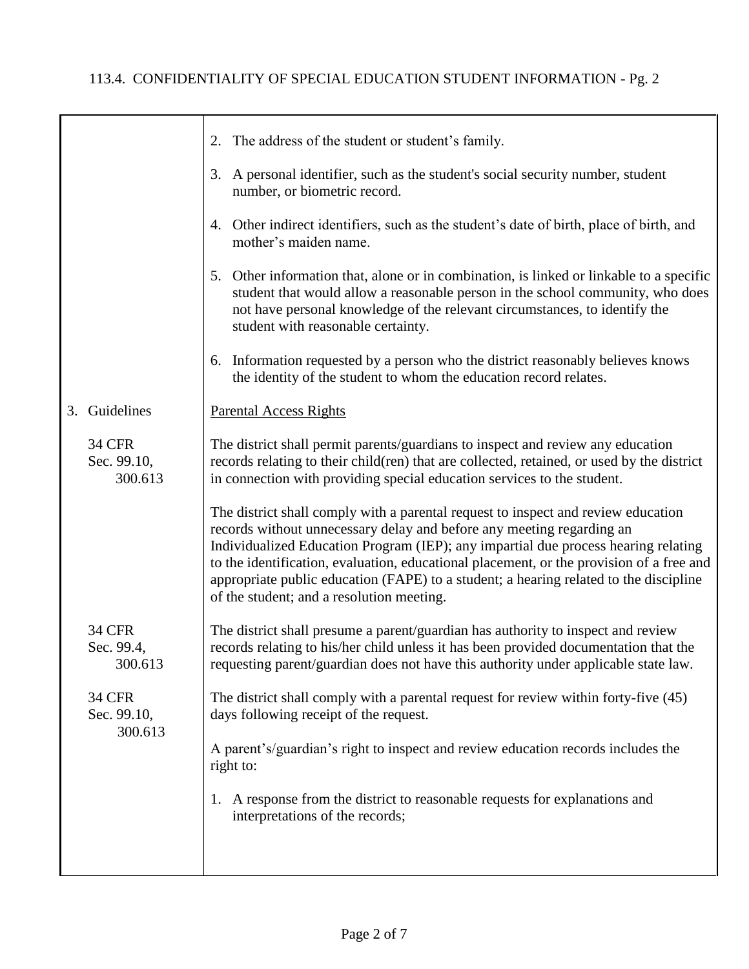|                                         | 2. The address of the student or student's family.                                                                                                                                                                                                                                                                                                                                                                                                                                 |
|-----------------------------------------|------------------------------------------------------------------------------------------------------------------------------------------------------------------------------------------------------------------------------------------------------------------------------------------------------------------------------------------------------------------------------------------------------------------------------------------------------------------------------------|
|                                         | 3. A personal identifier, such as the student's social security number, student<br>number, or biometric record.                                                                                                                                                                                                                                                                                                                                                                    |
|                                         | 4. Other indirect identifiers, such as the student's date of birth, place of birth, and<br>mother's maiden name.                                                                                                                                                                                                                                                                                                                                                                   |
|                                         | 5. Other information that, alone or in combination, is linked or linkable to a specific<br>student that would allow a reasonable person in the school community, who does<br>not have personal knowledge of the relevant circumstances, to identify the<br>student with reasonable certainty.                                                                                                                                                                                      |
|                                         | 6. Information requested by a person who the district reasonably believes knows<br>the identity of the student to whom the education record relates.                                                                                                                                                                                                                                                                                                                               |
| 3. Guidelines                           | <b>Parental Access Rights</b>                                                                                                                                                                                                                                                                                                                                                                                                                                                      |
| <b>34 CFR</b><br>Sec. 99.10,<br>300.613 | The district shall permit parents/guardians to inspect and review any education<br>records relating to their child(ren) that are collected, retained, or used by the district<br>in connection with providing special education services to the student.                                                                                                                                                                                                                           |
|                                         | The district shall comply with a parental request to inspect and review education<br>records without unnecessary delay and before any meeting regarding an<br>Individualized Education Program (IEP); any impartial due process hearing relating<br>to the identification, evaluation, educational placement, or the provision of a free and<br>appropriate public education (FAPE) to a student; a hearing related to the discipline<br>of the student; and a resolution meeting. |
| <b>34 CFR</b><br>Sec. 99.4,<br>300.613  | The district shall presume a parent/guardian has authority to inspect and review<br>records relating to his/her child unless it has been provided documentation that the<br>requesting parent/guardian does not have this authority under applicable state law.                                                                                                                                                                                                                    |
| <b>34 CFR</b><br>Sec. 99.10,<br>300.613 | The district shall comply with a parental request for review within forty-five (45)<br>days following receipt of the request.                                                                                                                                                                                                                                                                                                                                                      |
|                                         | A parent's/guardian's right to inspect and review education records includes the<br>right to:                                                                                                                                                                                                                                                                                                                                                                                      |
|                                         | 1. A response from the district to reasonable requests for explanations and<br>interpretations of the records;                                                                                                                                                                                                                                                                                                                                                                     |
|                                         |                                                                                                                                                                                                                                                                                                                                                                                                                                                                                    |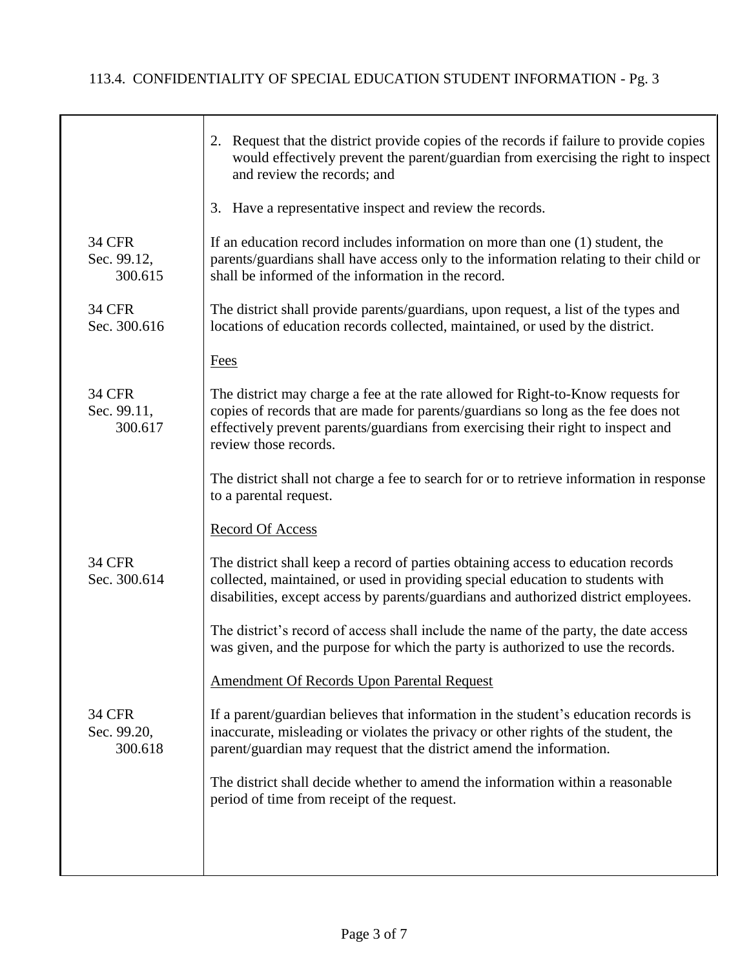|                                         | 2. Request that the district provide copies of the records if failure to provide copies<br>would effectively prevent the parent/guardian from exercising the right to inspect<br>and review the records; and                                                                       |
|-----------------------------------------|------------------------------------------------------------------------------------------------------------------------------------------------------------------------------------------------------------------------------------------------------------------------------------|
|                                         | 3. Have a representative inspect and review the records.                                                                                                                                                                                                                           |
| <b>34 CFR</b><br>Sec. 99.12,<br>300.615 | If an education record includes information on more than one $(1)$ student, the<br>parents/guardians shall have access only to the information relating to their child or<br>shall be informed of the information in the record.                                                   |
| <b>34 CFR</b><br>Sec. 300.616           | The district shall provide parents/guardians, upon request, a list of the types and<br>locations of education records collected, maintained, or used by the district.                                                                                                              |
|                                         | <b>Fees</b>                                                                                                                                                                                                                                                                        |
| <b>34 CFR</b><br>Sec. 99.11,<br>300.617 | The district may charge a fee at the rate allowed for Right-to-Know requests for<br>copies of records that are made for parents/guardians so long as the fee does not<br>effectively prevent parents/guardians from exercising their right to inspect and<br>review those records. |
|                                         | The district shall not charge a fee to search for or to retrieve information in response<br>to a parental request.                                                                                                                                                                 |
|                                         | <b>Record Of Access</b>                                                                                                                                                                                                                                                            |
| <b>34 CFR</b><br>Sec. 300.614           | The district shall keep a record of parties obtaining access to education records<br>collected, maintained, or used in providing special education to students with<br>disabilities, except access by parents/guardians and authorized district employees.                         |
|                                         | The district's record of access shall include the name of the party, the date access<br>was given, and the purpose for which the party is authorized to use the records.                                                                                                           |
|                                         | <b>Amendment Of Records Upon Parental Request</b>                                                                                                                                                                                                                                  |
| <b>34 CFR</b><br>Sec. 99.20,<br>300.618 | If a parent/guardian believes that information in the student's education records is<br>inaccurate, misleading or violates the privacy or other rights of the student, the<br>parent/guardian may request that the district amend the information.                                 |
|                                         | The district shall decide whether to amend the information within a reasonable<br>period of time from receipt of the request.                                                                                                                                                      |
|                                         |                                                                                                                                                                                                                                                                                    |
|                                         |                                                                                                                                                                                                                                                                                    |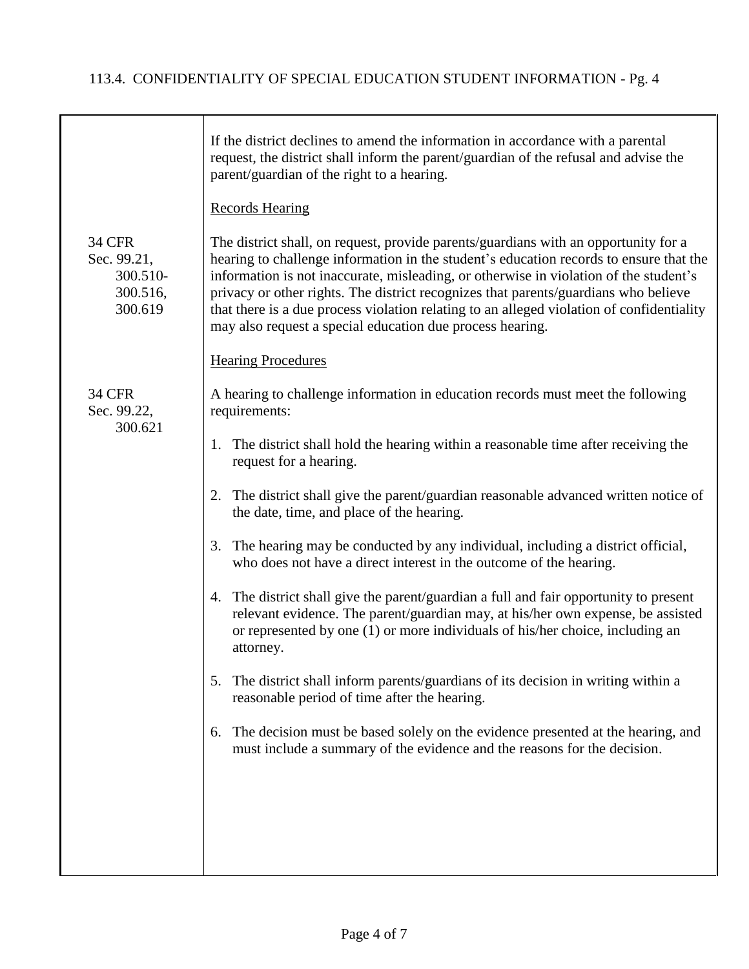|                                                                 | If the district declines to amend the information in accordance with a parental<br>request, the district shall inform the parent/guardian of the refusal and advise the<br>parent/guardian of the right to a hearing.                                                                                                                                                                                                                                                                                                   |
|-----------------------------------------------------------------|-------------------------------------------------------------------------------------------------------------------------------------------------------------------------------------------------------------------------------------------------------------------------------------------------------------------------------------------------------------------------------------------------------------------------------------------------------------------------------------------------------------------------|
|                                                                 | <b>Records Hearing</b>                                                                                                                                                                                                                                                                                                                                                                                                                                                                                                  |
| <b>34 CFR</b><br>Sec. 99.21,<br>300.510-<br>300.516,<br>300.619 | The district shall, on request, provide parents/guardians with an opportunity for a<br>hearing to challenge information in the student's education records to ensure that the<br>information is not inaccurate, misleading, or otherwise in violation of the student's<br>privacy or other rights. The district recognizes that parents/guardians who believe<br>that there is a due process violation relating to an alleged violation of confidentiality<br>may also request a special education due process hearing. |
|                                                                 | <b>Hearing Procedures</b>                                                                                                                                                                                                                                                                                                                                                                                                                                                                                               |
| <b>34 CFR</b><br>Sec. 99.22,<br>300.621                         | A hearing to challenge information in education records must meet the following<br>requirements:                                                                                                                                                                                                                                                                                                                                                                                                                        |
|                                                                 | The district shall hold the hearing within a reasonable time after receiving the<br>1.<br>request for a hearing.                                                                                                                                                                                                                                                                                                                                                                                                        |
|                                                                 | 2. The district shall give the parent/guardian reasonable advanced written notice of<br>the date, time, and place of the hearing.                                                                                                                                                                                                                                                                                                                                                                                       |
|                                                                 | 3. The hearing may be conducted by any individual, including a district official,<br>who does not have a direct interest in the outcome of the hearing.                                                                                                                                                                                                                                                                                                                                                                 |
|                                                                 | 4. The district shall give the parent/guardian a full and fair opportunity to present<br>relevant evidence. The parent/guardian may, at his/her own expense, be assisted<br>or represented by one (1) or more individuals of his/her choice, including an<br>attorney.                                                                                                                                                                                                                                                  |
|                                                                 | The district shall inform parents/guardians of its decision in writing within a<br>5.<br>reasonable period of time after the hearing.                                                                                                                                                                                                                                                                                                                                                                                   |
|                                                                 | The decision must be based solely on the evidence presented at the hearing, and<br>6.<br>must include a summary of the evidence and the reasons for the decision.                                                                                                                                                                                                                                                                                                                                                       |
|                                                                 |                                                                                                                                                                                                                                                                                                                                                                                                                                                                                                                         |
|                                                                 |                                                                                                                                                                                                                                                                                                                                                                                                                                                                                                                         |
|                                                                 |                                                                                                                                                                                                                                                                                                                                                                                                                                                                                                                         |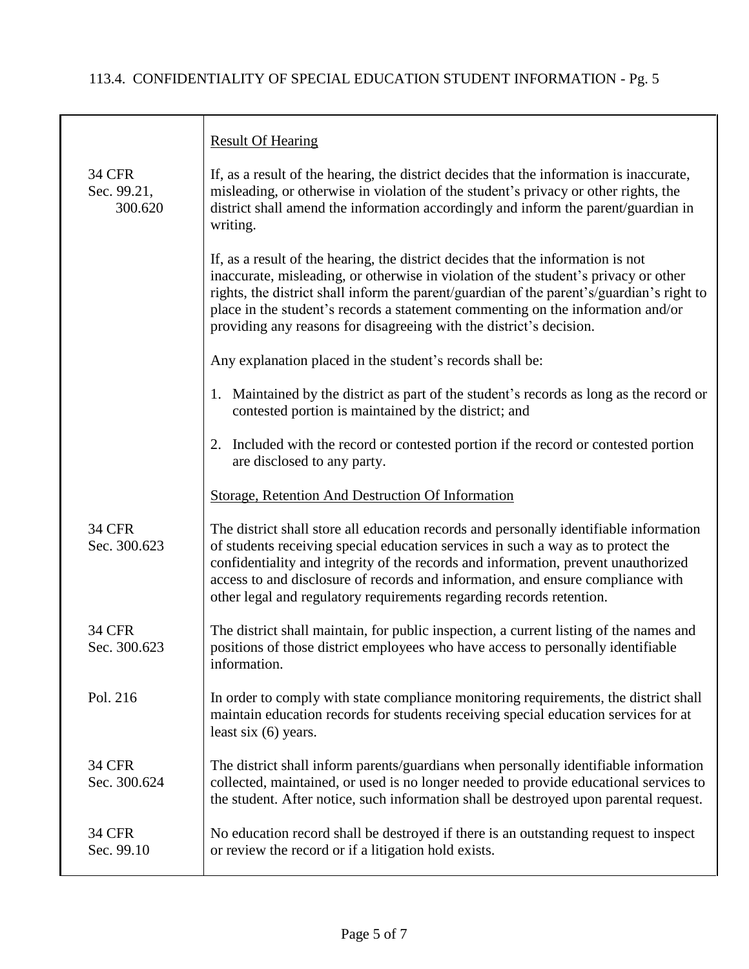$\top$ 

|                                         | <b>Result Of Hearing</b>                                                                                                                                                                                                                                                                                                                                                                                                       |
|-----------------------------------------|--------------------------------------------------------------------------------------------------------------------------------------------------------------------------------------------------------------------------------------------------------------------------------------------------------------------------------------------------------------------------------------------------------------------------------|
| <b>34 CFR</b><br>Sec. 99.21,<br>300.620 | If, as a result of the hearing, the district decides that the information is inaccurate,<br>misleading, or otherwise in violation of the student's privacy or other rights, the<br>district shall amend the information accordingly and inform the parent/guardian in<br>writing.                                                                                                                                              |
|                                         | If, as a result of the hearing, the district decides that the information is not<br>inaccurate, misleading, or otherwise in violation of the student's privacy or other<br>rights, the district shall inform the parent/guardian of the parent's/guardian's right to<br>place in the student's records a statement commenting on the information and/or<br>providing any reasons for disagreeing with the district's decision. |
|                                         | Any explanation placed in the student's records shall be:                                                                                                                                                                                                                                                                                                                                                                      |
|                                         | 1. Maintained by the district as part of the student's records as long as the record or<br>contested portion is maintained by the district; and                                                                                                                                                                                                                                                                                |
|                                         | 2. Included with the record or contested portion if the record or contested portion<br>are disclosed to any party.                                                                                                                                                                                                                                                                                                             |
|                                         | Storage, Retention And Destruction Of Information                                                                                                                                                                                                                                                                                                                                                                              |
| <b>34 CFR</b><br>Sec. 300.623           | The district shall store all education records and personally identifiable information<br>of students receiving special education services in such a way as to protect the<br>confidentiality and integrity of the records and information, prevent unauthorized<br>access to and disclosure of records and information, and ensure compliance with<br>other legal and regulatory requirements regarding records retention.    |
| <b>34 CFR</b><br>Sec. 300.623           | The district shall maintain, for public inspection, a current listing of the names and<br>positions of those district employees who have access to personally identifiable<br>information.                                                                                                                                                                                                                                     |
| Pol. 216                                | In order to comply with state compliance monitoring requirements, the district shall<br>maintain education records for students receiving special education services for at<br>least six $(6)$ years.                                                                                                                                                                                                                          |
| <b>34 CFR</b><br>Sec. 300.624           | The district shall inform parents/guardians when personally identifiable information<br>collected, maintained, or used is no longer needed to provide educational services to<br>the student. After notice, such information shall be destroyed upon parental request.                                                                                                                                                         |
| <b>34 CFR</b><br>Sec. 99.10             | No education record shall be destroyed if there is an outstanding request to inspect<br>or review the record or if a litigation hold exists.                                                                                                                                                                                                                                                                                   |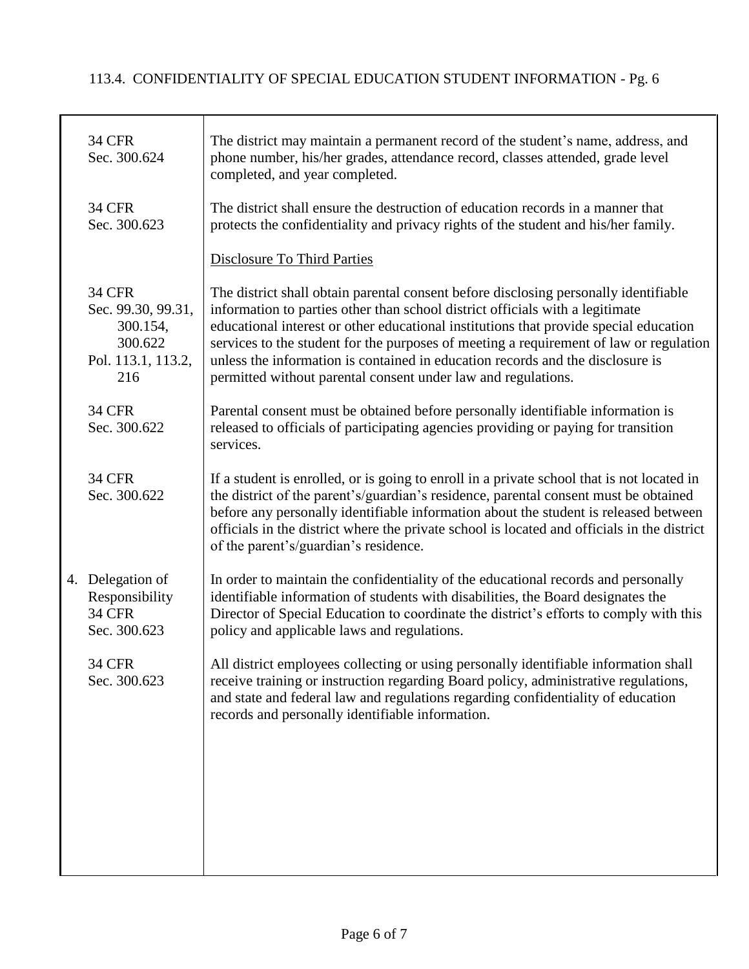| <b>34 CFR</b><br>Sec. 300.624                                                           | The district may maintain a permanent record of the student's name, address, and<br>phone number, his/her grades, attendance record, classes attended, grade level<br>completed, and year completed.                                                                                                                                                                                                                                                                                                        |
|-----------------------------------------------------------------------------------------|-------------------------------------------------------------------------------------------------------------------------------------------------------------------------------------------------------------------------------------------------------------------------------------------------------------------------------------------------------------------------------------------------------------------------------------------------------------------------------------------------------------|
| <b>34 CFR</b><br>Sec. 300.623                                                           | The district shall ensure the destruction of education records in a manner that<br>protects the confidentiality and privacy rights of the student and his/her family.                                                                                                                                                                                                                                                                                                                                       |
|                                                                                         | <b>Disclosure To Third Parties</b>                                                                                                                                                                                                                                                                                                                                                                                                                                                                          |
| <b>34 CFR</b><br>Sec. 99.30, 99.31,<br>300.154,<br>300.622<br>Pol. 113.1, 113.2,<br>216 | The district shall obtain parental consent before disclosing personally identifiable<br>information to parties other than school district officials with a legitimate<br>educational interest or other educational institutions that provide special education<br>services to the student for the purposes of meeting a requirement of law or regulation<br>unless the information is contained in education records and the disclosure is<br>permitted without parental consent under law and regulations. |
| <b>34 CFR</b><br>Sec. 300.622                                                           | Parental consent must be obtained before personally identifiable information is<br>released to officials of participating agencies providing or paying for transition<br>services.                                                                                                                                                                                                                                                                                                                          |
| <b>34 CFR</b><br>Sec. 300.622                                                           | If a student is enrolled, or is going to enroll in a private school that is not located in<br>the district of the parent's/guardian's residence, parental consent must be obtained<br>before any personally identifiable information about the student is released between<br>officials in the district where the private school is located and officials in the district<br>of the parent's/guardian's residence.                                                                                          |
| 4. Delegation of<br>Responsibility<br><b>34 CFR</b><br>Sec. 300.623                     | In order to maintain the confidentiality of the educational records and personally<br>identifiable information of students with disabilities, the Board designates the<br>Director of Special Education to coordinate the district's efforts to comply with this<br>policy and applicable laws and regulations.                                                                                                                                                                                             |
| <b>34 CFR</b><br>Sec. 300.623                                                           | All district employees collecting or using personally identifiable information shall<br>receive training or instruction regarding Board policy, administrative regulations,<br>and state and federal law and regulations regarding confidentiality of education<br>records and personally identifiable information.                                                                                                                                                                                         |
|                                                                                         |                                                                                                                                                                                                                                                                                                                                                                                                                                                                                                             |
|                                                                                         |                                                                                                                                                                                                                                                                                                                                                                                                                                                                                                             |